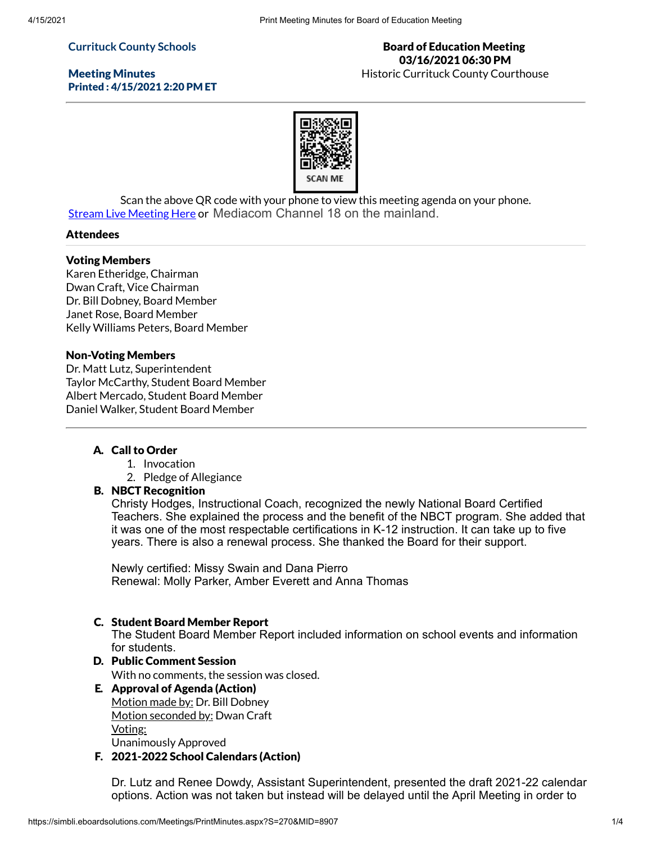## **Currituck County Schools**

Meeting Minutes Printed : 4/15/2021 2:20 PM ET

Board of Education Meeting 03/16/2021 06:30 PM Historic Currituck County Courthouse



Scan the above QR code with your phone to view this meeting agenda on your phone. Stream Live [Meeting](http://currituckcountync.iqm2.com/Citizens/default.aspx) Here or Mediacom Channel 18 on the mainland.

#### Attendees

#### Voting Members

Karen Etheridge, Chairman Dwan Craft, Vice Chairman Dr. Bill Dobney, Board Member Janet Rose, Board Member Kelly Williams Peters, Board Member

#### Non-Voting Members

Dr. Matt Lutz, Superintendent Taylor McCarthy, Student Board Member Albert Mercado, Student Board Member Daniel Walker, Student Board Member

## A. Call to Order

- 1. Invocation
- 2. Pledge of Allegiance

## B. NBCT Recognition

Christy Hodges, Instructional Coach, recognized the newly National Board Certified Teachers. She explained the process and the benefit of the NBCT program. She added that it was one of the most respectable certifications in K-12 instruction. It can take up to five years. There is also a renewal process. She thanked the Board for their support.

Newly certified: Missy Swain and Dana Pierro Renewal: Molly Parker, Amber Everett and Anna Thomas

## C. Student Board Member Report

The Student Board Member Report included information on school events and information for students.

# D. Public Comment Session

With no comments, the session was closed.

- E. Approval of Agenda (Action) Motion made by: Dr. Bill Dobney Motion seconded by: Dwan Craft Voting: Unanimously Approved
- F. 2021-2022 School Calendars (Action)

Dr. Lutz and Renee Dowdy, Assistant Superintendent, presented the draft 2021-22 calendar options. Action was not taken but instead will be delayed until the April Meeting in order to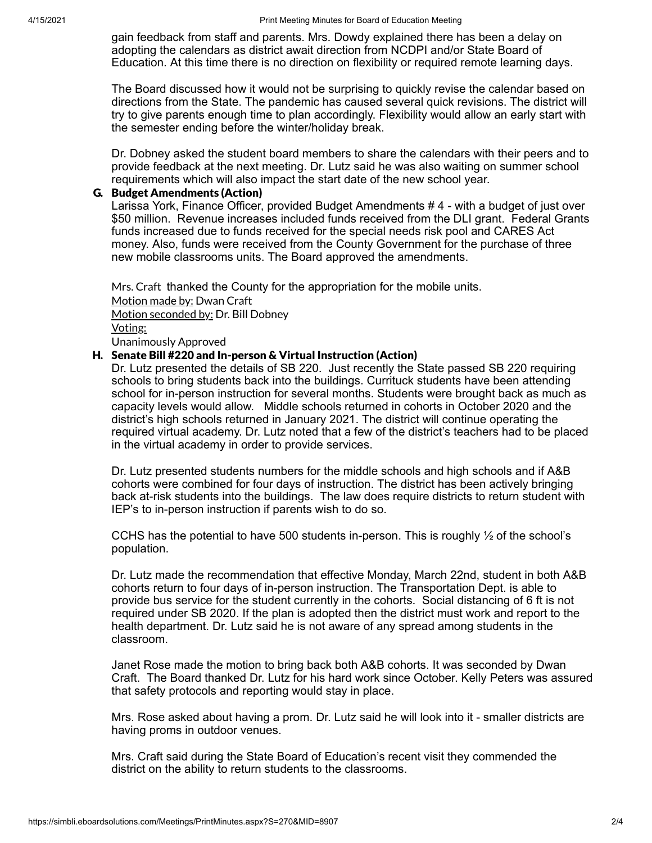gain feedback from staff and parents. Mrs. Dowdy explained there has been a delay on adopting the calendars as district await direction from NCDPI and/or State Board of Education. At this time there is no direction on flexibility or required remote learning days.

The Board discussed how it would not be surprising to quickly revise the calendar based on directions from the State. The pandemic has caused several quick revisions. The district will try to give parents enough time to plan accordingly. Flexibility would allow an early start with the semester ending before the winter/holiday break.

Dr. Dobney asked the student board members to share the calendars with their peers and to provide feedback at the next meeting. Dr. Lutz said he was also waiting on summer school requirements which will also impact the start date of the new school year.

### G. Budget Amendments (Action)

Larissa York, Finance Officer, provided Budget Amendments # 4 - with a budget of just over \$50 million. Revenue increases included funds received from the DLI grant. Federal Grants funds increased due to funds received for the special needs risk pool and CARES Act money. Also, funds were received from the County Government for the purchase of three new mobile classrooms units. The Board approved the amendments.

Mrs. Craft thanked the County for the appropriation for the mobile units. Motion made by: Dwan Craft Motion seconded by: Dr. Bill Dobney Voting: Unanimously Approved

## H. Senate Bill #220 and In-person & Virtual Instruction (Action)

Dr. Lutz presented the details of SB 220. Just recently the State passed SB 220 requiring schools to bring students back into the buildings. Currituck students have been attending school for in-person instruction for several months. Students were brought back as much as capacity levels would allow. Middle schools returned in cohorts in October 2020 and the district's high schools returned in January 2021. The district will continue operating the required virtual academy. Dr. Lutz noted that a few of the district's teachers had to be placed in the virtual academy in order to provide services.

Dr. Lutz presented students numbers for the middle schools and high schools and if A&B cohorts were combined for four days of instruction. The district has been actively bringing back at-risk students into the buildings. The law does require districts to return student with IEP's to in-person instruction if parents wish to do so.

CCHS has the potential to have 500 students in-person. This is roughly  $\frac{1}{2}$  of the school's population.

Dr. Lutz made the recommendation that effective Monday, March 22nd, student in both A&B cohorts return to four days of in-person instruction. The Transportation Dept. is able to provide bus service for the student currently in the cohorts. Social distancing of 6 ft is not required under SB 2020. If the plan is adopted then the district must work and report to the health department. Dr. Lutz said he is not aware of any spread among students in the classroom.

Janet Rose made the motion to bring back both A&B cohorts. It was seconded by Dwan Craft. The Board thanked Dr. Lutz for his hard work since October. Kelly Peters was assured that safety protocols and reporting would stay in place.

Mrs. Rose asked about having a prom. Dr. Lutz said he will look into it - smaller districts are having proms in outdoor venues.

Mrs. Craft said during the State Board of Education's recent visit they commended the district on the ability to return students to the classrooms.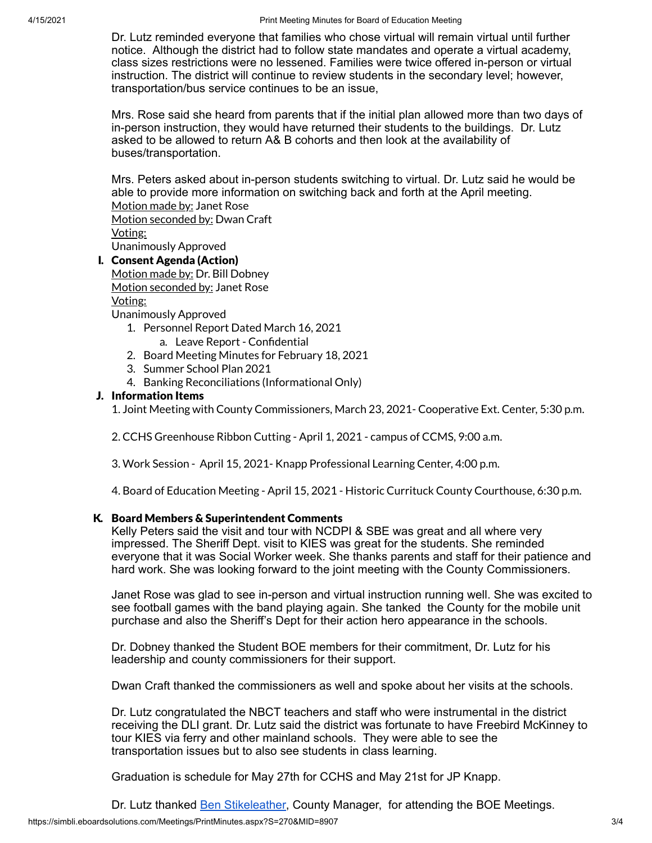Dr. Lutz reminded everyone that families who chose virtual will remain virtual until further notice. Although the district had to follow state mandates and operate a virtual academy, class sizes restrictions were no lessened. Families were twice offered in-person or virtual instruction. The district will continue to review students in the secondary level; however, transportation/bus service continues to be an issue,

Mrs. Rose said she heard from parents that if the initial plan allowed more than two days of in-person instruction, they would have returned their students to the buildings. Dr. Lutz asked to be allowed to return A& B cohorts and then look at the availability of buses/transportation.

Mrs. Peters asked about in-person students switching to virtual. Dr. Lutz said he would be able to provide more information on switching back and forth at the April meeting. Motion made by: Janet Rose Motion seconded by: Dwan Craft Voting:

Unanimously Approved

I. Consent Agenda (Action)

Motion made by: Dr. Bill Dobney Motion seconded by: Janet Rose

Voting:

Unanimously Approved

- 1. Personnel Report Dated March 16, 2021
	- a. Leave Report Confidential
- 2. Board Meeting Minutes for February 18, 2021
- 3. Summer School Plan 2021
- 4. Banking Reconciliations (Informational Only)

## J. Information Items

1. Joint Meeting with County Commissioners, March 23, 2021- Cooperative Ext. Center, 5:30 p.m.

2. CCHS Greenhouse Ribbon Cutting - April 1, 2021 - campus of CCMS, 9:00 a.m.

3. Work Session - April 15, 2021- Knapp Professional Learning Center, 4:00 p.m.

4. Board of Education Meeting - April 15, 2021 - Historic Currituck County Courthouse, 6:30 p.m.

#### K. Board Members & Superintendent Comments

Kelly Peters said the visit and tour with NCDPI & SBE was great and all where very impressed. The Sheriff Dept. visit to KIES was great for the students. She reminded everyone that it was Social Worker week. She thanks parents and staff for their patience and hard work. She was looking forward to the joint meeting with the County Commissioners.

Janet Rose was glad to see in-person and virtual instruction running well. She was excited to see football games with the band playing again. She tanked the County for the mobile unit purchase and also the Sheriff's Dept for their action hero appearance in the schools.

Dr. Dobney thanked the Student BOE members for their commitment, Dr. Lutz for his leadership and county commissioners for their support.

Dwan Craft thanked the commissioners as well and spoke about her visits at the schools.

Dr. Lutz congratulated the NBCT teachers and staff who were instrumental in the district receiving the DLI grant. Dr. Lutz said the district was fortunate to have Freebird McKinney to tour KIES via ferry and other mainland schools. They were able to see the transportation issues but to also see students in class learning.

Graduation is schedule for May 27th for CCHS and May 21st for JP Knapp.

Dr. Lutz thanked Ben [Stikeleather](mailto:Ben.Stikeleather@currituckcountync.gov), County Manager, for attending the BOE Meetings.